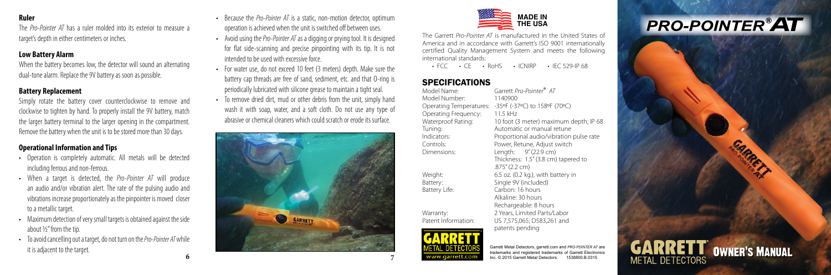#### **Ruler**

The *Pro-Pointer AT* has a ruler molded into its exterior to measure a target's depth in either centimeters or inches.

#### **Low Battery Alarm**

When the battery becomes low, the detector will sound an alternating dual-tone alarm. Replace the 9V battery as soon as possible.

#### **Battery Replacement**

Simply rotate the battery cover counterclockwise to remove and clockwise to tighten by hand. To properly install the 9V battery, match the larger battery terminal to the larger opening in the compartment. Remove the battery when the unit is to be stored more than 30 days.

#### **Operational Information and Tips**

- Operation is completely automatic. All metals will be detected including ferrous and non-ferrous.
- When a target is detected, the *Pro-Pointer AT* will produce an audio and/or vibration alert. The rate of the pulsing audio and vibrations increase proportionately as the pinpointer is moved closer to a metallic target.
- Maximum detection of very small targets is obtained against the side about ½" from the tip.
- To avoid cancelling out a target, do not turn on the *Pro-Pointer AT*while it is adjacent to the target.
- Because the *Pro-Pointer AT* is a static, non-motion detector, optimum operation is achieved when the unit is switched off between uses.
- Avoid using the *Pro-Pointer AT* as a digging or prying tool. It is designed for flat side-scanning and precise pinpointing with its tip. It is not intended to be used with excessive force.
- For water use, do not exceed 10 feet (3 meters) depth. Make sure the battery cap threads are free of sand, sediment, etc. and that O-ring is periodically lubricated with silicone grease to maintain a tight seal.
- To remove dried dirt, mud or other debris from the unit, simply hand wash it with soap, water, and a soft cloth. Do not use any type of abrasive or chemical cleaners which could scratch or erode its surface.





The Garrett *Pro-Pointer AT* is manufactured in the United States of America and in accordance with Garrett's ISO 9001 internationally certified Quality Management System and meets the following international standards:

 $\cdot$  FCC  $\cdot$  CF  $\cdot$  RoHS  $\cdot$  ICNIRP  $\cdot$  IFC 529-IP 68

# **SPECIFICATIONS**<br>Model Name:

Model Name: Garrett *Pro-Pointer* ® *AT* Model Number: 1140900 Operating Temperatures: ºF (-37 ºC) to 158 ºF (70 ºC) Operating Frequency: 11.5 kHz Waterproof Rating: 10 foot (3 meter) maximum depth; IP 68 Tuning: Automatic or manual retune Indicators: Proportional audio/vibration pulse rate Controls: Power, Retune, Adjust switch Dimensions: Length: 9" (22.9 cm) Thickness: 1.5" (3.8 cm) tapered to .875" (2.2 cm) Weight: 6.5 oz. (0.2 kg.), with battery in Battery: Single 9V (included) Battery Life: Carbon: 16 hours Alkaline: 30 hours Rechargeable: 8 hours Warranty: 2 Years, Limited Parts/Labor Patent Information: US 7,575,065; D583,261 and



Garrett Metal Detectors, garrett.com and *PRO-POINTER AT* are trademarks and registered trademarks of Garrett Electronics Inc. © 2015 Garrett Metal Detectors. 1538800.B.0315

patents pending

# **PRO-POINTER®AT**



**6**